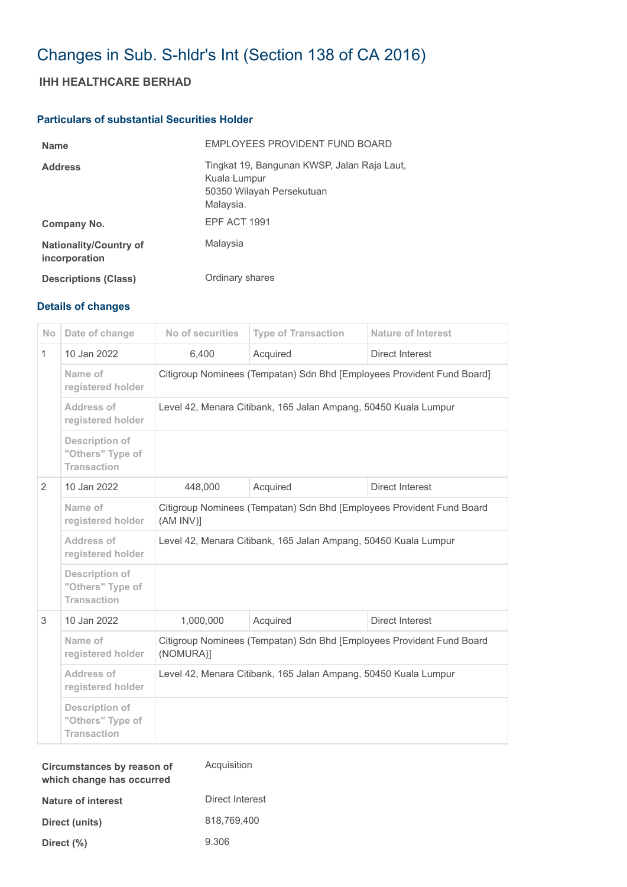# Changes in Sub. S-hldr's Int (Section 138 of CA 2016)

## **IHH HEALTHCARE BERHAD**

### **Particulars of substantial Securities Holder**

| <b>Name</b>                                    | EMPLOYEES PROVIDENT FUND BOARD                                                                        |
|------------------------------------------------|-------------------------------------------------------------------------------------------------------|
| <b>Address</b>                                 | Tingkat 19, Bangunan KWSP, Jalan Raja Laut,<br>Kuala Lumpur<br>50350 Wilayah Persekutuan<br>Malaysia. |
| Company No.                                    | EPF ACT 1991                                                                                          |
| <b>Nationality/Country of</b><br>incorporation | Malaysia                                                                                              |
| <b>Descriptions (Class)</b>                    | Ordinary shares                                                                                       |

### **Details of changes**

| No           | Date of change                                                  | No of securities                                                                   | <b>Type of Transaction</b> | <b>Nature of Interest</b> |  |
|--------------|-----------------------------------------------------------------|------------------------------------------------------------------------------------|----------------------------|---------------------------|--|
| $\mathbf{1}$ | 10 Jan 2022                                                     | 6,400                                                                              | Acquired                   | Direct Interest           |  |
|              | Name of<br>registered holder                                    | Citigroup Nominees (Tempatan) Sdn Bhd [Employees Provident Fund Board]             |                            |                           |  |
|              | Address of<br>registered holder                                 | Level 42, Menara Citibank, 165 Jalan Ampang, 50450 Kuala Lumpur                    |                            |                           |  |
|              | <b>Description of</b><br>"Others" Type of<br><b>Transaction</b> |                                                                                    |                            |                           |  |
| 2            | 10 Jan 2022                                                     | 448,000                                                                            | Acquired                   | Direct Interest           |  |
|              | Name of<br>registered holder                                    | Citigroup Nominees (Tempatan) Sdn Bhd [Employees Provident Fund Board<br>(AM INV)] |                            |                           |  |
|              | Address of<br>registered holder                                 | Level 42, Menara Citibank, 165 Jalan Ampang, 50450 Kuala Lumpur                    |                            |                           |  |
|              | <b>Description of</b><br>"Others" Type of<br><b>Transaction</b> |                                                                                    |                            |                           |  |
| 3            | 10 Jan 2022                                                     | 1,000,000                                                                          | Acquired                   | <b>Direct Interest</b>    |  |
|              | Name of<br>registered holder                                    | Citigroup Nominees (Tempatan) Sdn Bhd [Employees Provident Fund Board<br>(NOMURA)] |                            |                           |  |
|              | Address of<br>registered holder                                 | Level 42, Menara Citibank, 165 Jalan Ampang, 50450 Kuala Lumpur                    |                            |                           |  |
|              | <b>Description of</b><br>"Others" Type of<br><b>Transaction</b> |                                                                                    |                            |                           |  |

| Circumstances by reason of<br>which change has occurred | Acquisition     |
|---------------------------------------------------------|-----------------|
| Nature of interest                                      | Direct Interest |
| Direct (units)                                          | 818.769.400     |
| Direct $(\%)$                                           | 9.306           |